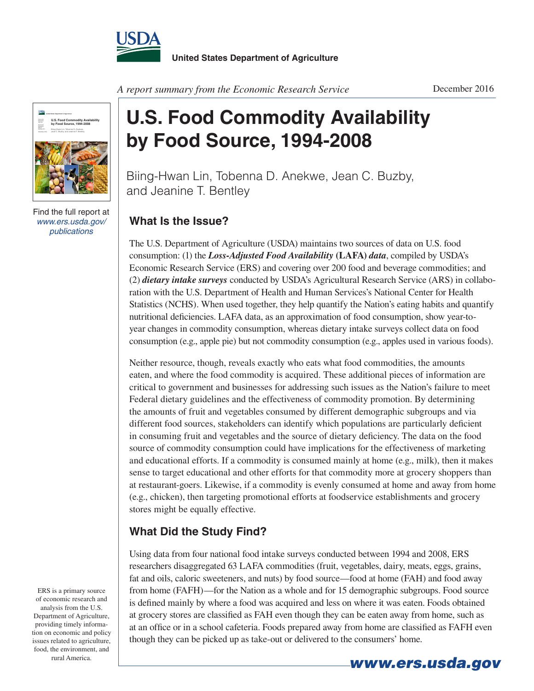



Find the full report at *www.ers.usda.gov/ publications*

*A report summary from the Economic Research Service*

## **U.S. Food Commodity Availability by Food Source, 1994-2008**

Biing-Hwan Lin, Tobenna D. Anekwe, Jean C. Buzby, and Jeanine T. Bentley

## **What Is the Issue?**

The U.S. Department of Agriculture (USDA) maintains two sources of data on U.S. food consumption: (1) the *Loss-Adjusted Food Availability* **(LAFA)** *data*, compiled by USDA's Economic Research Service (ERS) and covering over 200 food and beverage commodities; and (2) *dietary intake surveys* conducted by USDA's Agricultural Research Service (ARS) in collaboration with the U.S. Department of Health and Human Services's National Center for Health Statistics (NCHS). When used together, they help quantify the Nation's eating habits and quantify nutritional deficiencies. LAFA data, as an approximation of food consumption, show year-toyear changes in commodity consumption, whereas dietary intake surveys collect data on food consumption (e.g., apple pie) but not commodity consumption (e.g., apples used in various foods).

Neither resource, though, reveals exactly who eats what food commodities, the amounts eaten, and where the food commodity is acquired. These additional pieces of information are critical to government and businesses for addressing such issues as the Nation's failure to meet Federal dietary guidelines and the effectiveness of commodity promotion. By determining the amounts of fruit and vegetables consumed by different demographic subgroups and via different food sources, stakeholders can identify which populations are particularly deficient in consuming fruit and vegetables and the source of dietary deficiency. The data on the food source of commodity consumption could have implications for the effectiveness of marketing and educational efforts. If a commodity is consumed mainly at home (e.g., milk), then it makes sense to target educational and other efforts for that commodity more at grocery shoppers than at restaurant-goers. Likewise, if a commodity is evenly consumed at home and away from home (e.g., chicken), then targeting promotional efforts at foodservice establishments and grocery stores might be equally effective.

## **What Did the Study Find?**

Using data from four national food intake surveys conducted between 1994 and 2008, ERS researchers disaggregated 63 LAFA commodities (fruit, vegetables, dairy, meats, eggs, grains, fat and oils, caloric sweeteners, and nuts) by food source—food at home (FAH) and food away from home (FAFH)—for the Nation as a whole and for 15 demographic subgroups. Food source is defined mainly by where a food was acquired and less on where it was eaten. Foods obtained at grocery stores are classified as FAH even though they can be eaten away from home, such as at an office or in a school cafeteria. Foods prepared away from home are classified as FAFH even though they can be picked up as take-out or delivered to the consumers' home.

ERS is a primary source of economic research and analysis from the U.S. Department of Agriculture, providing timely information on economic and policy issues related to agriculture, food, the environment, and